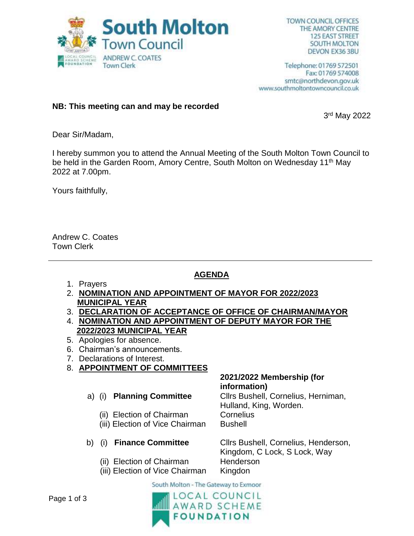

Telephone: 01769 572501 Fax: 01769 574008 smtc@northdevon.gov.uk www.southmoltontowncouncil.co.uk

### **NB: This meeting can and may be recorded**

3 rd May 2022

Dear Sir/Madam,

I hereby summon you to attend the Annual Meeting of the South Molton Town Council to be held in the Garden Room, Amory Centre, South Molton on Wednesday 11<sup>th</sup> May 2022 at 7.00pm.

Yours faithfully,

Andrew C. Coates Town Clerk

# **AGENDA**

- 1. Prayers
- 2. **NOMINATION AND APPOINTMENT OF MAYOR FOR 2022/2023 MUNICIPAL YEAR**
- 3. **DECLARATION OF ACCEPTANCE OF OFFICE OF CHAIRMAN/MAYOR** 4. **NOMINATION AND APPOINTMENT OF DEPUTY MAYOR FOR THE 2022/2023 MUNICIPAL YEAR**
- 5. Apologies for absence.
- 6. Chairman's announcements.
- 7. Declarations of Interest.
- 8. **APPOINTMENT OF COMMITTEES**

# a) (i) **Planning Committee**

- (ii) Election of Chairman
- (iii) Election of Vice Chairman

# b) (i) **Finance Committee**

- (ii) Election of Chairman
- (iii) Election of Vice Chairman

#### **2021/2022 Membership (for information)**

Cllrs Bushell, Cornelius, Herniman, Hulland, King, Worden. **Cornelius** Bushell

Cllrs Bushell, Cornelius, Henderson, Kingdom, C Lock, S Lock, Way Henderson Kingdon

South Molton - The Gateway to Exmoor

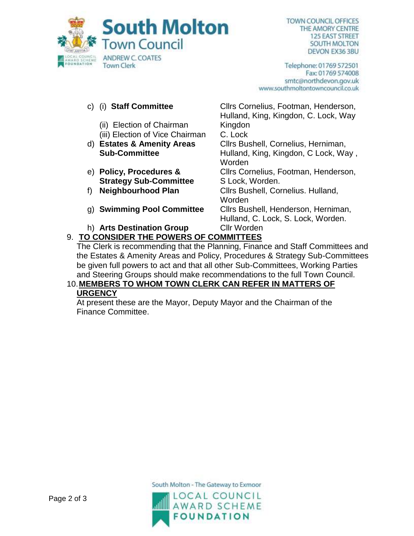

Telephone: 01769 572501 Fax: 01769 574008 smtc@northdevon.gov.uk www.southmoltontowncouncil.co.uk

## c) (i) **Staff Committee**

- (ii) Election of Chairman
- (iii) Election of Vice Chairman
- d) **Estates & Amenity Areas Sub-Committee**
- e) **Policy, Procedures & Strategy Sub-Committee**
- 
- 
- h) **Arts Destination Group** Cllr Worden

Hulland, King, Kingdon, C. Lock, Way Kingdon C. Lock Cllrs Bushell, Cornelius, Herniman, Hulland, King, Kingdon, C Lock, Way , Worden Cllrs Cornelius, Footman, Henderson, S Lock, Worden. f) **Neighbourhood Plan** Cllrs Bushell, Cornelius. Hulland, **Worden** g) **Swimming Pool Committee** Cllrs Bushell, Henderson, Herniman, Hulland, C. Lock, S. Lock, Worden.

Cllrs Cornelius, Footman, Henderson,

# 9. **TO CONSIDER THE POWERS OF COMMITTEES**

The Clerk is recommending that the Planning, Finance and Staff Committees and the Estates & Amenity Areas and Policy, Procedures & Strategy Sub-Committees be given full powers to act and that all other Sub-Committees, Working Parties and Steering Groups should make recommendations to the full Town Council.

#### 10.**MEMBERS TO WHOM TOWN CLERK CAN REFER IN MATTERS OF URGENCY**

At present these are the Mayor, Deputy Mayor and the Chairman of the Finance Committee.

South Molton - The Gateway to Exmoor